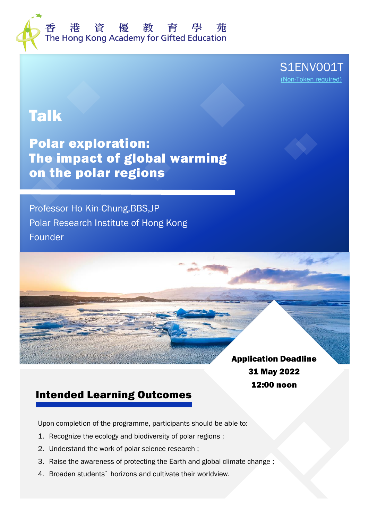

S1ENV001T [\(Non-Token required\)](http://ge.hkage.org.hk/en/students/important-information/token_system)

# Talk

Polar exploration: The impact of global warming on the polar regions

Professor Ho Kin-Chung,BBS,JP Polar Research Institute of Hong Kong Founder

> Application Deadline 31 May 2022 12:00 noon

#### Intended Learning Outcomes

Upon completion of the programme, participants should be able to:

- 1. Recognize the ecology and biodiversity of polar regions ;
- 2. Understand the work of polar science research ;
- 3. Raise the awareness of protecting the Earth and global climate change ;
- 4. Broaden students` horizons and cultivate their worldview.